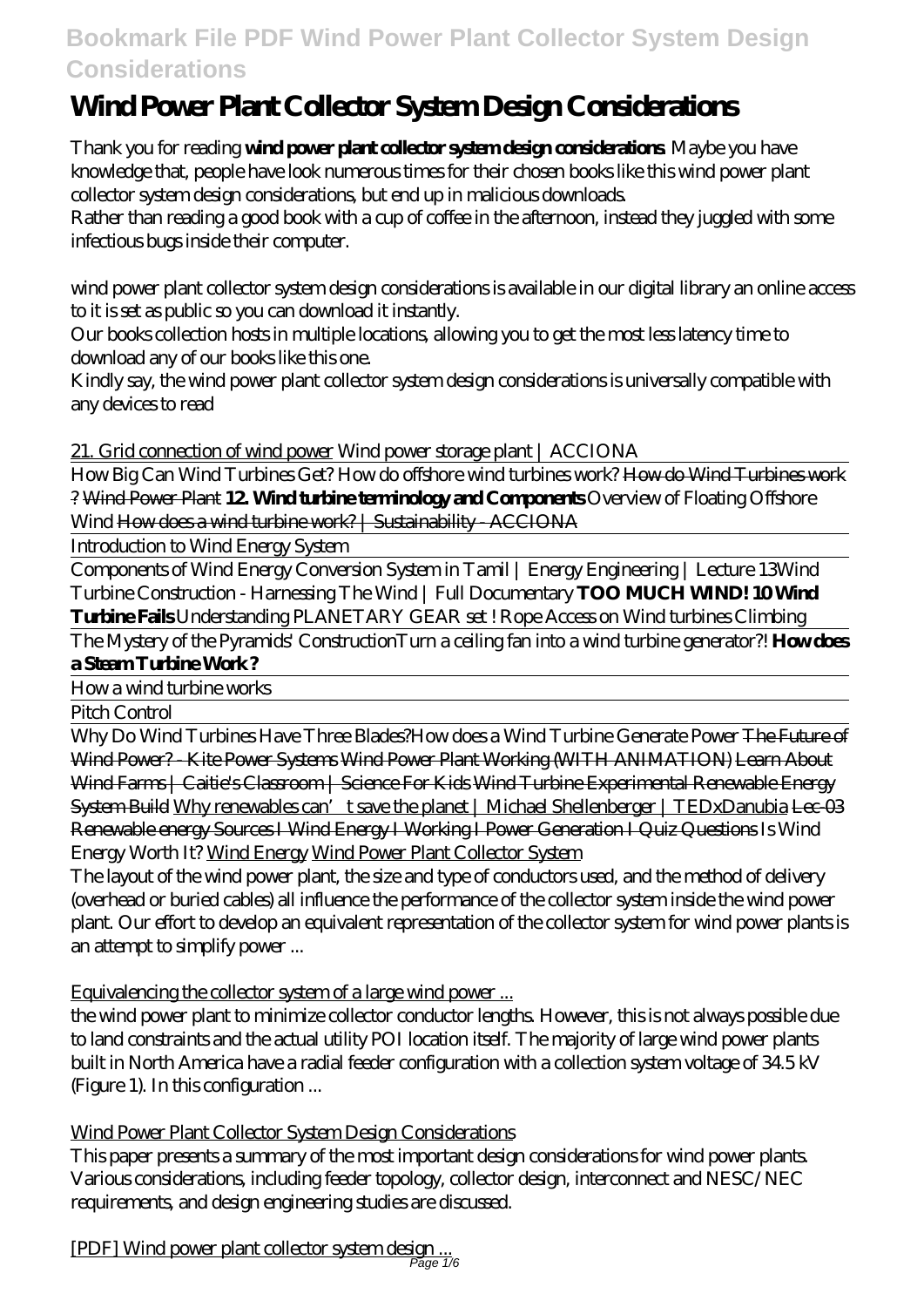# **Wind Power Plant Collector System Design Considerations**

Thank you for reading **wind power plant collector system design considerations**. Maybe you have knowledge that, people have look numerous times for their chosen books like this wind power plant collector system design considerations, but end up in malicious downloads.

Rather than reading a good book with a cup of coffee in the afternoon, instead they juggled with some infectious bugs inside their computer.

wind power plant collector system design considerations is available in our digital library an online access to it is set as public so you can download it instantly.

Our books collection hosts in multiple locations, allowing you to get the most less latency time to download any of our books like this one.

Kindly say, the wind power plant collector system design considerations is universally compatible with any devices to read

#### 21. Grid connection of wind power *Wind power storage plant | ACCIONA*

How Big Can Wind Turbines Get? How do offshore wind turbines work? <del>How do Wind Turbines work</del> ? Wind Power Plant **12. Wind turbine terminology and Components** Overview of Floating Offshore Wind How does a wind turbine work? | Sustainability - ACCIONA

Introduction to Wind Energy System

Components of Wind Energy Conversion System in Tamil | Energy Engineering | Lecture 13*Wind Turbine Construction - Harnessing The Wind | Full Documentary* **TOO MUCH WIND! 10 Wind Turbine Fails** *Understanding PLANETARY GEAR set ! Rope Access on Wind turbines Climbing*

The Mystery of the Pyramids' Construction*Turn a ceiling fan into a wind turbine generator?!* **How does a Steam Turbine Work ?**

How a wind turbine works

Pitch Control

Why Do Wind Turbines Have Three Blades?*How does a Wind Turbine Generate Power* The Future of Wind Power? - Kite Power Systems Wind Power Plant Working (WITH ANIMATION) Learn About Wind Farms | Caitie's Classroom | Science For Kids Wind Turbine Experimental Renewable Energy System Build Why renewables can't save the planet | Michael Shellenberger | TEDxDanubia Lec-03 Renewable energy Sources I Wind Energy I Working I Power Generation I Quiz Questions *Is Wind Energy Worth It?* Wind Energy Wind Power Plant Collector System

The layout of the wind power plant, the size and type of conductors used, and the method of delivery (overhead or buried cables) all influence the performance of the collector system inside the wind power plant. Our effort to develop an equivalent representation of the collector system for wind power plants is an attempt to simplify power ...

Equivalencing the collector system of a large wind power ...

the wind power plant to minimize collector conductor lengths. However, this is not always possible due to land constraints and the actual utility POI location itself. The majority of large wind power plants built in North America have a radial feeder configuration with a collection system voltage of 34.5 kV (Figure 1). In this configuration ...

#### Wind Power Plant Collector System Design Considerations

This paper presents a summary of the most important design considerations for wind power plants. Various considerations, including feeder topology, collector design, interconnect and NESC/NEC requirements, and design engineering studies are discussed.

[PDF] Wind power plant collector system design ... Page 1/6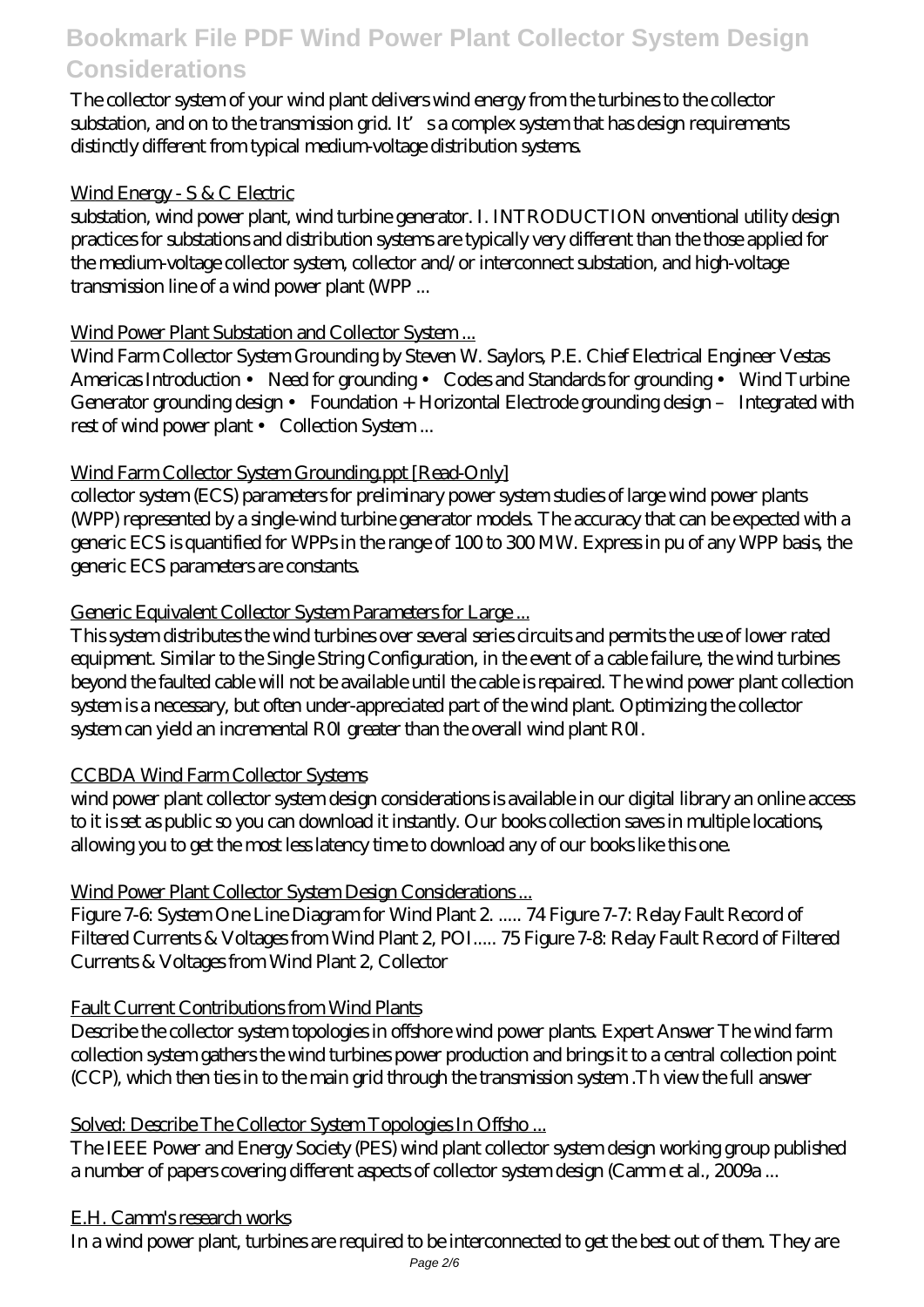The collector system of your wind plant delivers wind energy from the turbines to the collector substation, and on to the transmission grid. It's a complex system that has design requirements distinctly different from typical medium-voltage distribution systems.

#### Wind Energy - S & C Electric

substation, wind power plant, wind turbine generator. I. INTRODUCTION onventional utility design practices for substations and distribution systems are typically very different than the those applied for the medium-voltage collector system, collector and/or interconnect substation, and high-voltage transmission line of a wind power plant (WPP ...

#### Wind Power Plant Substation and Collector System...

Wind Farm Collector System Grounding by Steven W. Saylors, P.E. Chief Electrical Engineer Vestas Americas Introduction • Need for grounding • Codes and Standards for grounding • Wind Turbine Generator grounding design • Foundation + Horizontal Electrode grounding design – Integrated with rest of wind power plant • Collection System ...

### Wind Farm Collector System Grounding.ppt [Read-Only]

collector system (ECS) parameters for preliminary power system studies of large wind power plants (WPP) represented by a single-wind turbine generator models. The accuracy that can be expected with a generic ECS is quantified for WPPs in the range of 100 to 300 MW. Express in pu of any WPP basis, the generic ECS parameters are constants.

#### Generic Equivalent Collector System Parameters for Large ...

This system distributes the wind turbines over several series circuits and permits the use of lower rated equipment. Similar to the Single String Configuration, in the event of a cable failure, the wind turbines beyond the faulted cable will not be available until the cable is repaired. The wind power plant collection system is a necessary, but often under-appreciated part of the wind plant. Optimizing the collector system can yield an incremental R0I greater than the overall wind plant R0I.

#### CCBDA Wind Farm Collector Systems

wind power plant collector system design considerations is available in our digital library an online access to it is set as public so you can download it instantly. Our books collection saves in multiple locations, allowing you to get the most less latency time to download any of our books like this one.

# Wind Power Plant Collector System Design Considerations ...

Figure 7-6: System One Line Diagram for Wind Plant 2. ..... 74 Figure 7-7: Relay Fault Record of Filtered Currents & Voltages from Wind Plant 2, POI..... 75 Figure 7-8: Relay Fault Record of Filtered Currents & Voltages from Wind Plant 2, Collector

#### Fault Current Contributions from Wind Plants

Describe the collector system topologies in offshore wind power plants. Expert Answer The wind farm collection system gathers the wind turbines power production and brings it to a central collection point (CCP), which then ties in to the main grid through the transmission system .Th view the full answer

#### Solved: Describe The Collector System Topologies In Offsho...

The IEEE Power and Energy Society (PES) wind plant collector system design working group published a number of papers covering different aspects of collector system design (Camm et al., 2009a ...

#### E.H. Camm's research works

In a wind power plant, turbines are required to be interconnected to get the best out of them. They are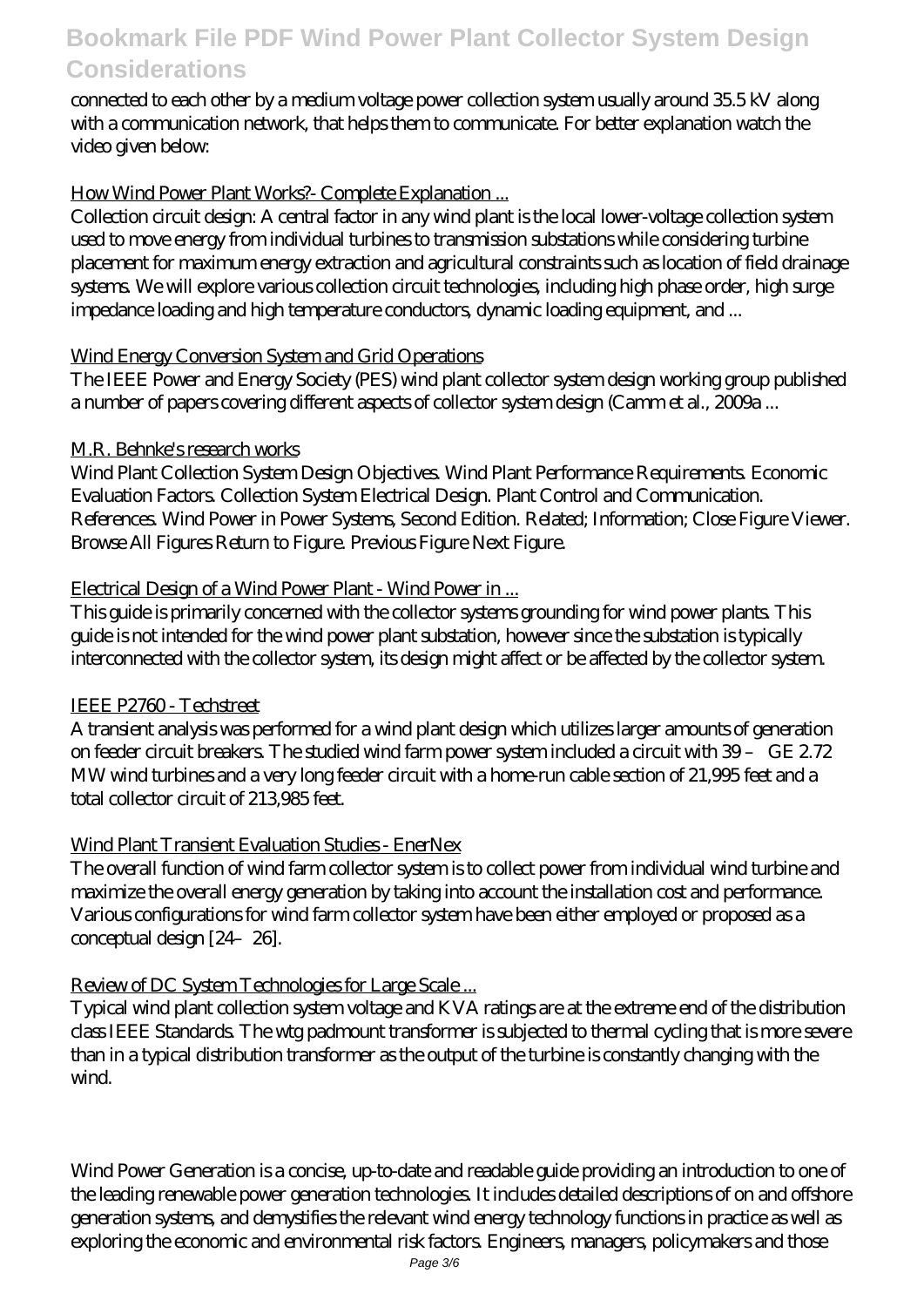connected to each other by a medium voltage power collection system usually around 35.5 kV along with a communication network, that helps them to communicate. For better explanation watch the video given below:

### How Wind Power Plant Works?- Complete Explanation ...

Collection circuit design: A central factor in any wind plant is the local lower-voltage collection system used to move energy from individual turbines to transmission substations while considering turbine placement for maximum energy extraction and agricultural constraints such as location of field drainage systems. We will explore various collection circuit technologies, including high phase order, high surge impedance loading and high temperature conductors, dynamic loading equipment, and ...

### Wind Energy Conversion System and Grid Operations

The IEEE Power and Energy Society (PES) wind plant collector system design working group published a number of papers covering different aspects of collector system design (Camm et al., 2009a ...

### M.R. Behnke's research works

Wind Plant Collection System Design Objectives. Wind Plant Performance Requirements. Economic Evaluation Factors. Collection System Electrical Design. Plant Control and Communication. References. Wind Power in Power Systems, Second Edition. Related; Information; Close Figure Viewer. Browse All Figures Return to Figure. Previous Figure Next Figure.

### Electrical Design of a Wind Power Plant - Wind Power in ...

This guide is primarily concerned with the collector systems grounding for wind power plants. This guide is not intended for the wind power plant substation, however since the substation is typically interconnected with the collector system, its design might affect or be affected by the collector system.

#### IEEE P2760 - Techstreet

A transient analysis was performed for a wind plant design which utilizes larger amounts of generation on feeder circuit breakers. The studied wind farm power system included a circuit with 39 – GE 2.72 MW wind turbines and a very long feeder circuit with a home-run cable section of 21,995 feet and a total collector circuit of 213,985 feet.

# Wind Plant Transient Evaluation Studies - EnerNex

The overall function of wind farm collector system is to collect power from individual wind turbine and maximize the overall energy generation by taking into account the installation cost and performance. Various configurations for wind farm collector system have been either employed or proposed as a conceptual design [24–26].

# Review of DC System Technologies for Large Scale ...

Typical wind plant collection system voltage and KVA ratings are at the extreme end of the distribution class IEEE Standards. The wtg padmount transformer is subjected to thermal cycling that is more severe than in a typical distribution transformer as the output of the turbine is constantly changing with the wind.

Wind Power Generation is a concise, up-to-date and readable guide providing an introduction to one of the leading renewable power generation technologies. It includes detailed descriptions of on and offshore generation systems, and demystifies the relevant wind energy technology functions in practice as well as exploring the economic and environmental risk factors. Engineers, managers, policymakers and those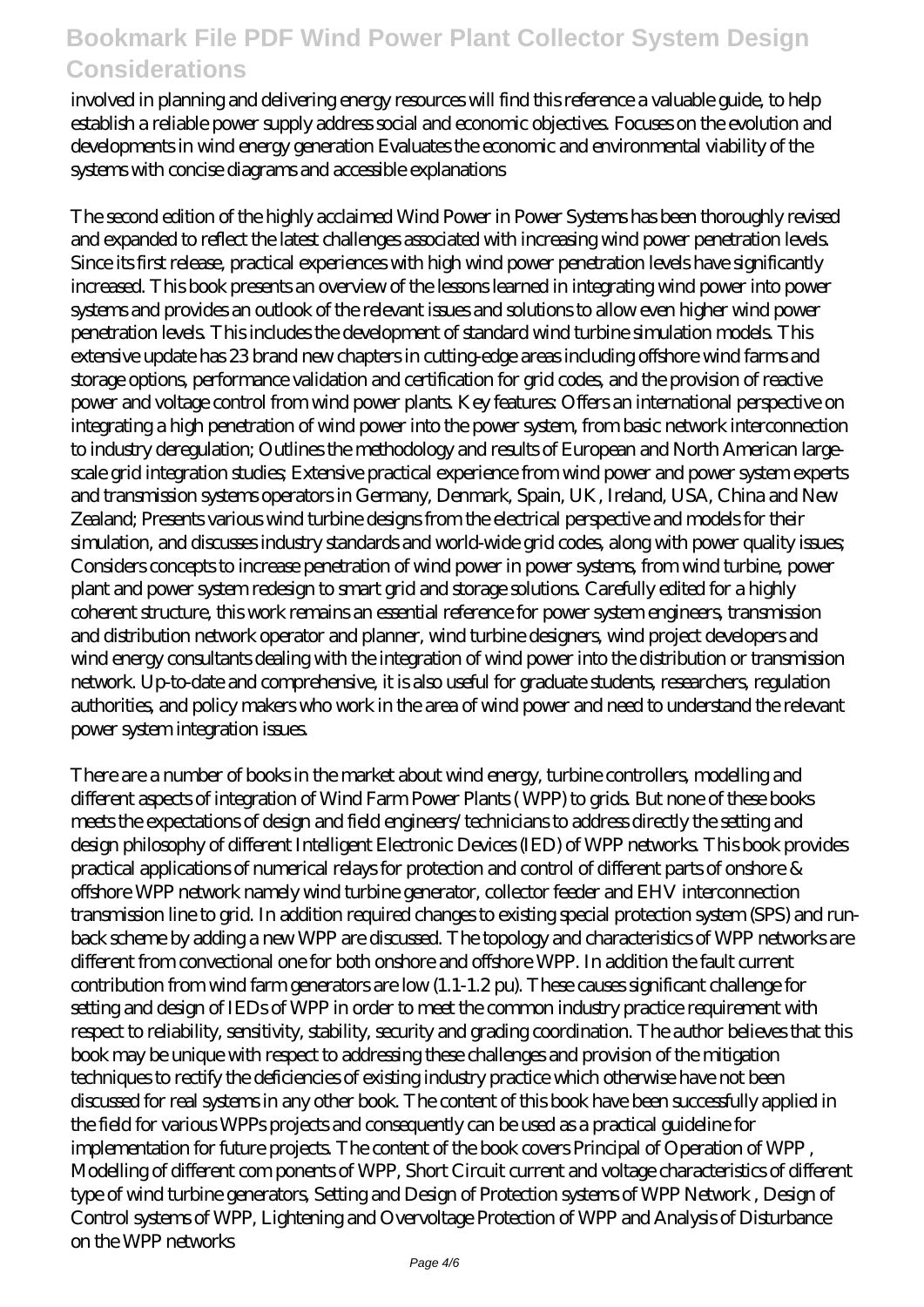involved in planning and delivering energy resources will find this reference a valuable guide, to help establish a reliable power supply address social and economic objectives. Focuses on the evolution and developments in wind energy generation Evaluates the economic and environmental viability of the systems with concise diagrams and accessible explanations

The second edition of the highly acclaimed Wind Power in Power Systems has been thoroughly revised and expanded to reflect the latest challenges associated with increasing wind power penetration levels. Since its first release, practical experiences with high wind power penetration levels have significantly increased. This book presents an overview of the lessons learned in integrating wind power into power systems and provides an outlook of the relevant issues and solutions to allow even higher wind power penetration levels. This includes the development of standard wind turbine simulation models. This extensive update has 23 brand new chapters in cutting-edge areas including offshore wind farms and storage options, performance validation and certification for grid codes, and the provision of reactive power and voltage control from wind power plants. Key features: Offers an international perspective on integrating a high penetration of wind power into the power system, from basic network interconnection to industry deregulation; Outlines the methodology and results of European and North American largescale grid integration studies; Extensive practical experience from wind power and power system experts and transmission systems operators in Germany, Denmark, Spain, UK, Ireland, USA, China and New Zealand; Presents various wind turbine designs from the electrical perspective and models for their simulation, and discusses industry standards and world-wide grid codes, along with power quality issues; Considers concepts to increase penetration of wind power in power systems, from wind turbine, power plant and power system redesign to smart grid and storage solutions. Carefully edited for a highly coherent structure, this work remains an essential reference for power system engineers, transmission and distribution network operator and planner, wind turbine designers, wind project developers and wind energy consultants dealing with the integration of wind power into the distribution or transmission network. Up-to-date and comprehensive, it is also useful for graduate students, researchers, regulation authorities, and policy makers who work in the area of wind power and need to understand the relevant power system integration issues.

There are a number of books in the market about wind energy, turbine controllers, modelling and different aspects of integration of Wind Farm Power Plants ( WPP) to grids. But none of these books meets the expectations of design and field engineers/technicians to address directly the setting and design philosophy of different Intelligent Electronic Devices (IED) of WPP networks. This book provides practical applications of numerical relays for protection and control of different parts of onshore & offshore WPP network namely wind turbine generator, collector feeder and EHV interconnection transmission line to grid. In addition required changes to existing special protection system (SPS) and runback scheme by adding a new WPP are discussed. The topology and characteristics of WPP networks are different from convectional one for both onshore and offshore WPP. In addition the fault current contribution from wind farm generators are low (1.1-1.2 pu). These causes significant challenge for setting and design of IEDs of WPP in order to meet the common industry practice requirement with respect to reliability, sensitivity, stability, security and grading coordination. The author believes that this book may be unique with respect to addressing these challenges and provision of the mitigation techniques to rectify the deficiencies of existing industry practice which otherwise have not been discussed for real systems in any other book. The content of this book have been successfully applied in the field for various WPPs projects and consequently can be used as a practical guideline for implementation for future projects. The content of the book covers Principal of Operation of WPP , Modelling of different com ponents of WPP, Short Circuit current and voltage characteristics of different type of wind turbine generators, Setting and Design of Protection systems of WPP Network , Design of Control systems of WPP, Lightening and Overvoltage Protection of WPP and Analysis of Disturbance on the WPP networks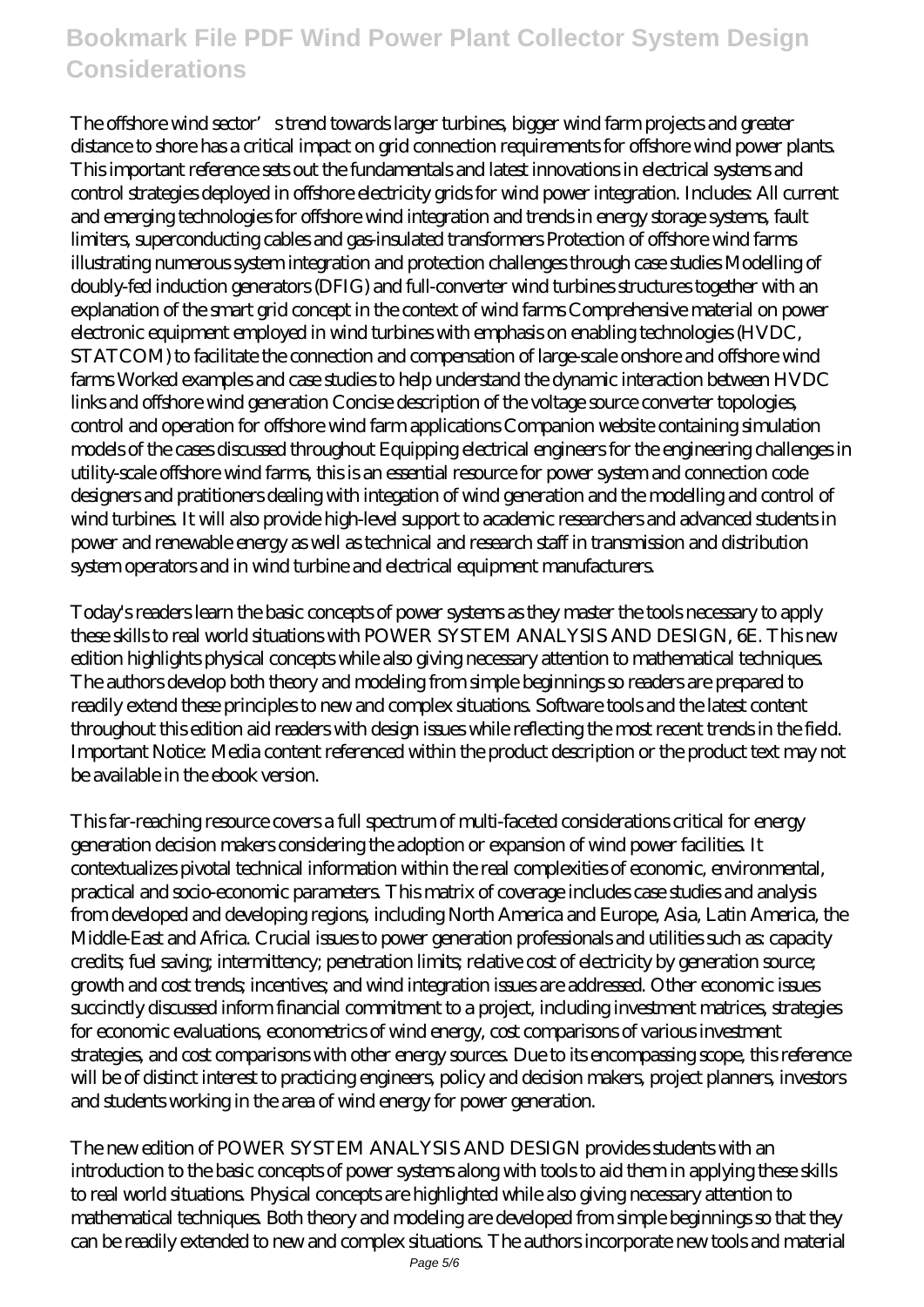The offshore wind sector's trend towards larger turbines, bigger wind farm projects and greater distance to shore has a critical impact on grid connection requirements for offshore wind power plants. This important reference sets out the fundamentals and latest innovations in electrical systems and control strategies deployed in offshore electricity grids for wind power integration. Includes: All current and emerging technologies for offshore wind integration and trends in energy storage systems, fault limiters, superconducting cables and gas-insulated transformers Protection of offshore wind farms illustrating numerous system integration and protection challenges through case studies Modelling of doubly-fed induction generators (DFIG) and full-converter wind turbines structures together with an explanation of the smart grid concept in the context of wind farms Comprehensive material on power electronic equipment employed in wind turbines with emphasis on enabling technologies (HVDC, STATCOM) to facilitate the connection and compensation of large-scale onshore and offshore wind farms Worked examples and case studies to help understand the dynamic interaction between HVDC links and offshore wind generation Concise description of the voltage source converter topologies, control and operation for offshore wind farm applications Companion website containing simulation models of the cases discussed throughout Equipping electrical engineers for the engineering challenges in utility-scale offshore wind farms, this is an essential resource for power system and connection code designers and pratitioners dealing with integation of wind generation and the modelling and control of wind turbines. It will also provide high-level support to academic researchers and advanced students in power and renewable energy as well as technical and research staff in transmission and distribution system operators and in wind turbine and electrical equipment manufacturers.

Today's readers learn the basic concepts of power systems as they master the tools necessary to apply these skills to real world situations with POWER SYSTEM ANALYSIS AND DESIGN, 6E. This new edition highlights physical concepts while also giving necessary attention to mathematical techniques. The authors develop both theory and modeling from simple beginnings so readers are prepared to readily extend these principles to new and complex situations. Software tools and the latest content throughout this edition aid readers with design issues while reflecting the most recent trends in the field. Important Notice: Media content referenced within the product description or the product text may not be available in the ebook version.

This far-reaching resource covers a full spectrum of multi-faceted considerations critical for energy generation decision makers considering the adoption or expansion of wind power facilities. It contextualizes pivotal technical information within the real complexities of economic, environmental, practical and socio-economic parameters. This matrix of coverage includes case studies and analysis from developed and developing regions, including North America and Europe, Asia, Latin America, the Middle-East and Africa. Crucial issues to power generation professionals and utilities such as: capacity credits; fuel saving; intermittency; penetration limits; relative cost of electricity by generation source; growth and cost trends; incentives; and wind integration issues are addressed. Other economic issues succinctly discussed inform financial commitment to a project, including investment matrices, strategies for economic evaluations, econometrics of wind energy, cost comparisons of various investment strategies, and cost comparisons with other energy sources. Due to its encompassing scope, this reference will be of distinct interest to practicing engineers, policy and decision makers, project planners, investors and students working in the area of wind energy for power generation.

The new edition of POWER SYSTEM ANALYSIS AND DESIGN provides students with an introduction to the basic concepts of power systems along with tools to aid them in applying these skills to real world situations. Physical concepts are highlighted while also giving necessary attention to mathematical techniques. Both theory and modeling are developed from simple beginnings so that they can be readily extended to new and complex situations. The authors incorporate new tools and material